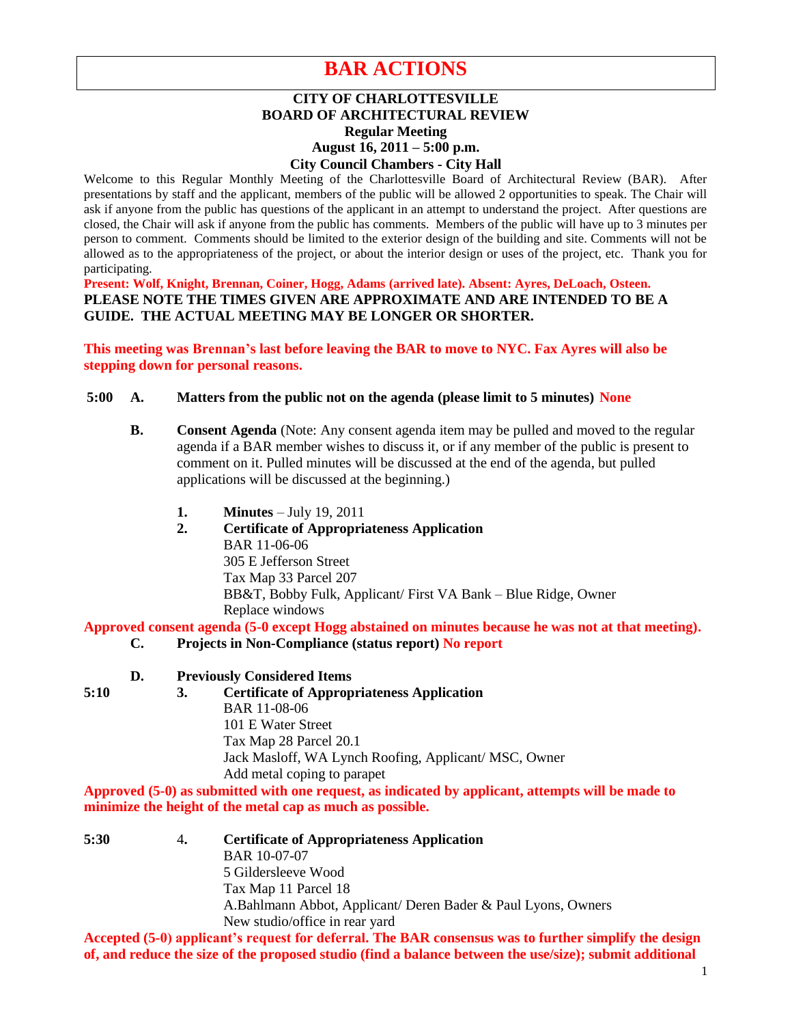# **BAR ACTIONS**

# **CITY OF CHARLOTTESVILLE BOARD OF ARCHITECTURAL REVIEW Regular Meeting August 16, 2011 – 5:00 p.m. City Council Chambers - City Hall**

Welcome to this Regular Monthly Meeting of the Charlottesville Board of Architectural Review (BAR). After presentations by staff and the applicant, members of the public will be allowed 2 opportunities to speak. The Chair will ask if anyone from the public has questions of the applicant in an attempt to understand the project. After questions are closed, the Chair will ask if anyone from the public has comments. Members of the public will have up to 3 minutes per person to comment. Comments should be limited to the exterior design of the building and site. Comments will not be allowed as to the appropriateness of the project, or about the interior design or uses of the project, etc. Thank you for participating.

**Present: Wolf, Knight, Brennan, Coiner, Hogg, Adams (arrived late). Absent: Ayres, DeLoach, Osteen. PLEASE NOTE THE TIMES GIVEN ARE APPROXIMATE AND ARE INTENDED TO BE A GUIDE. THE ACTUAL MEETING MAY BE LONGER OR SHORTER.**

**This meeting was Brennan's last before leaving the BAR to move to NYC. Fax Ayres will also be stepping down for personal reasons.**

# **5:00 A. Matters from the public not on the agenda (please limit to 5 minutes) None**

- **B. Consent Agenda** (Note: Any consent agenda item may be pulled and moved to the regular agenda if a BAR member wishes to discuss it, or if any member of the public is present to comment on it. Pulled minutes will be discussed at the end of the agenda, but pulled applications will be discussed at the beginning.)
	- **1. Minutes** July 19, 2011
	- **2. Certificate of Appropriateness Application** BAR 11-06-06 305 E Jefferson Street Tax Map 33 Parcel 207 BB&T, Bobby Fulk, Applicant/ First VA Bank – Blue Ridge, Owner Replace windows

**Approved consent agenda (5-0 except Hogg abstained on minutes because he was not at that meeting).**

- **C. Projects in Non-Compliance (status report) No report**
- **D. Previously Considered Items**
- 
- **5:10 3. Certificate of Appropriateness Application** BAR 11-08-06 101 E Water Street Tax Map 28 Parcel 20.1 Jack Masloff, WA Lynch Roofing, Applicant/ MSC, Owner Add metal coping to parapet

**Approved (5-0) as submitted with one request, as indicated by applicant, attempts will be made to minimize the height of the metal cap as much as possible.**

**5:30** 4**. Certificate of Appropriateness Application**  BAR 10-07-07 5 Gildersleeve Wood Tax Map 11 Parcel 18 A.Bahlmann Abbot, Applicant/ Deren Bader & Paul Lyons, Owners New studio/office in rear yard

**Accepted (5-0) applicant's request for deferral. The BAR consensus was to further simplify the design of, and reduce the size of the proposed studio (find a balance between the use/size); submit additional**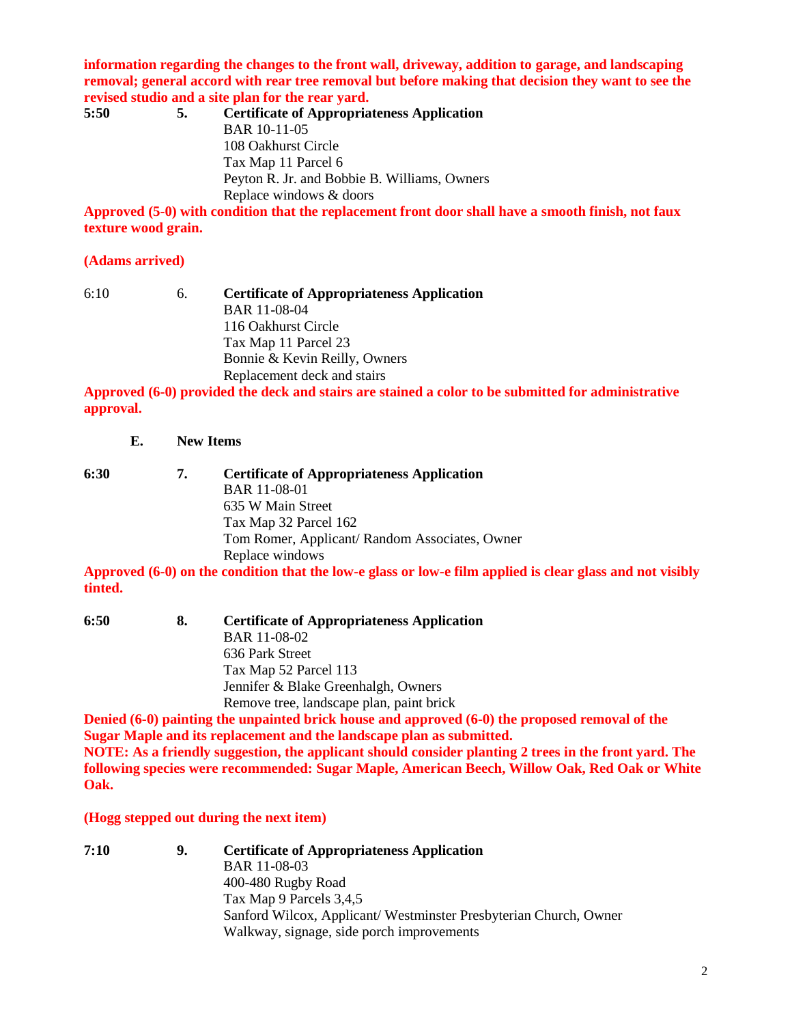**information regarding the changes to the front wall, driveway, addition to garage, and landscaping removal; general accord with rear tree removal but before making that decision they want to see the revised studio and a site plan for the rear yard.**

| 5:50 | 5. | <b>Certificate of Appropriateness Application</b> |
|------|----|---------------------------------------------------|
|      |    | <b>BAR 10-11-05</b>                               |
|      |    | 108 Oakhurst Circle                               |
|      |    | Tax Map 11 Parcel 6                               |
|      |    | Peyton R. Jr. and Bobbie B. Williams, Owners      |
|      |    | Replace windows & doors                           |
|      |    |                                                   |

**Approved (5-0) with condition that the replacement front door shall have a smooth finish, not faux texture wood grain.**

# **(Adams arrived)**

6:10 6. **Certificate of Appropriateness Application** BAR 11-08-04 116 Oakhurst Circle Tax Map 11 Parcel 23 Bonnie & Kevin Reilly, Owners Replacement deck and stairs

**Approved (6-0) provided the deck and stairs are stained a color to be submitted for administrative approval.**

**E. New Items** 

**6:30 7. Certificate of Appropriateness Application** BAR 11-08-01 635 W Main Street Tax Map 32 Parcel 162 Tom Romer, Applicant/ Random Associates, Owner Replace windows

**Approved (6-0) on the condition that the low-e glass or low-e film applied is clear glass and not visibly tinted.**

| 6:50 | 8. | <b>Certificate of Appropriateness Application</b> |
|------|----|---------------------------------------------------|
|      |    | <b>BAR 11-08-02</b>                               |
|      |    | 636 Park Street                                   |
|      |    | Tax Map 52 Parcel 113                             |
|      |    | Jennifer & Blake Greenhalgh, Owners               |
|      |    | Remove tree, landscape plan, paint brick          |

**Denied (6-0) painting the unpainted brick house and approved (6-0) the proposed removal of the Sugar Maple and its replacement and the landscape plan as submitted. NOTE: As a friendly suggestion, the applicant should consider planting 2 trees in the front yard. The following species were recommended: Sugar Maple, American Beech, Willow Oak, Red Oak or White Oak.**

# **(Hogg stepped out during the next item)**

**7:10 9. Certificate of Appropriateness Application** BAR 11-08-03 400-480 Rugby Road Tax Map 9 Parcels 3,4,5 Sanford Wilcox, Applicant/ Westminster Presbyterian Church, Owner Walkway, signage, side porch improvements